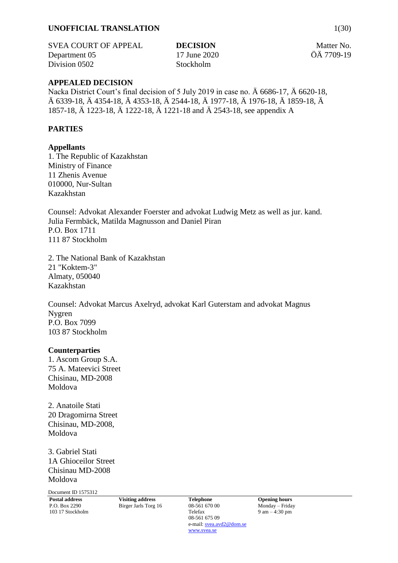## **UNOFFICIAL TRANSLATION** 1(30)

SVEA COURT OF APPEAL **DECISION** Matter No. Department 05 17 June 2020 ÖÄ 7709-19 Division 0502 Stockholm

## **APPEALED DECISION**

Nacka District Court's final decision of 5 July 2019 in case no. Ä 6686-17, Ä 6620-18, Ä 6339-18, Ä 4354-18, Ä 4353-18, Ä 2544-18, Ä 1977-18, Ä 1976-18, Ä 1859-18, Ä 1857-18, Ä 1223-18, Ä 1222-18, Ä 1221-18 and Ä 2543-18, see appendix A

## **PARTIES**

### **Appellants**

1. The Republic of Kazakhstan Ministry of Finance 11 Zhenis Avenue 010000, Nur-Sultan Kazakhstan

Counsel: Advokat Alexander Foerster and advokat Ludwig Metz as well as jur. kand. Julia Fermbäck, Matilda Magnusson and Daniel Piran P.O. Box 1711 111 87 Stockholm

2. The National Bank of Kazakhstan 21 "Koktem-3" Almaty, 050040 Kazakhstan

Counsel: Advokat Marcus Axelryd, advokat Karl Guterstam and advokat Magnus Nygren P.O. Box 7099 103 87 Stockholm

### **Counterparties**

1. Ascom Group S.A. 75 A. Mateevici Street Chisinau, MD-2008 Moldova

2. Anatoile Stati 20 Dragomirna Street Chisinau, MD-2008, Moldova

3. Gabriel Stati 1A Ghioceilor Street Chisinau MD-2008 Moldova

Document ID 1575312

**Postal address**<br> **Postal address**<br> **Postal address**<br> **Postal address**<br> **Postal address**<br> **Postal address**<br> **Postal address**<br> **Postal address**<br> **Postal address**<br> **Postal address**<br> **Postal address**<br> **Postal address**<br> **Posta** Birger Jarls Torg  $16$  08-561 670 00 Monday – Friday 103 17 Stockholm Telefax 9 am – 4:30 pm 08-561 675 09 e-mail[: svea.avd2@dom.se](mailto:svea.avd2@dom.se) [www.svea.se](http://www.svea.se/)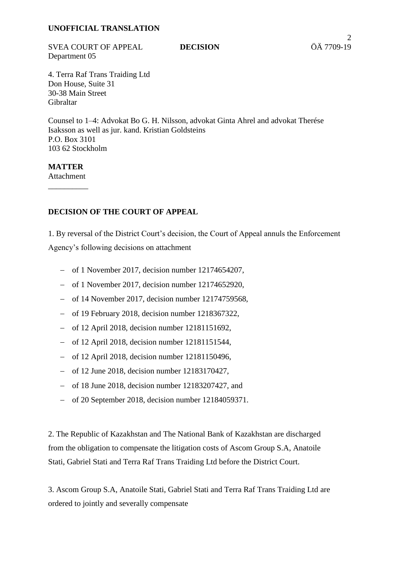SVEA COURT OF APPEAL **DECISION** ÖÄ 7709-19 Department 05

4. Terra Raf Trans Traiding Ltd Don House, Suite 31 30-38 Main Street Gibraltar

Counsel to 1–4: Advokat Bo G. H. Nilsson, advokat Ginta Ahrel and advokat Therése Isaksson as well as jur. kand. Kristian Goldsteins P.O. Box 3101 103 62 Stockholm

## **MATTER**

Attachment  $\overline{\phantom{a}}$  ,  $\overline{\phantom{a}}$  ,  $\overline{\phantom{a}}$  ,  $\overline{\phantom{a}}$  ,  $\overline{\phantom{a}}$  ,  $\overline{\phantom{a}}$  ,  $\overline{\phantom{a}}$  ,  $\overline{\phantom{a}}$  ,  $\overline{\phantom{a}}$  ,  $\overline{\phantom{a}}$  ,  $\overline{\phantom{a}}$  ,  $\overline{\phantom{a}}$  ,  $\overline{\phantom{a}}$  ,  $\overline{\phantom{a}}$  ,  $\overline{\phantom{a}}$  ,  $\overline{\phantom{a}}$ 

## **DECISION OF THE COURT OF APPEAL**

1. By reversal of the District Court's decision, the Court of Appeal annuls the Enforcement Agency's following decisions on attachment

- − of 1 November 2017, decision number 12174654207,
- − of 1 November 2017, decision number 12174652920,
- − of 14 November 2017, decision number 12174759568,
- − of 19 February 2018, decision number 1218367322,
- − of 12 April 2018, decision number 12181151692,
- − of 12 April 2018, decision number 12181151544,
- − of 12 April 2018, decision number 12181150496,
- − of 12 June 2018, decision number 12183170427,
- − of 18 June 2018, decision number 12183207427, and
- − of 20 September 2018, decision number 12184059371.

2. The Republic of Kazakhstan and The National Bank of Kazakhstan are discharged from the obligation to compensate the litigation costs of Ascom Group S.A, Anatoile Stati, Gabriel Stati and Terra Raf Trans Traiding Ltd before the District Court.

3. Ascom Group S.A, Anatoile Stati, Gabriel Stati and Terra Raf Trans Traiding Ltd are ordered to jointly and severally compensate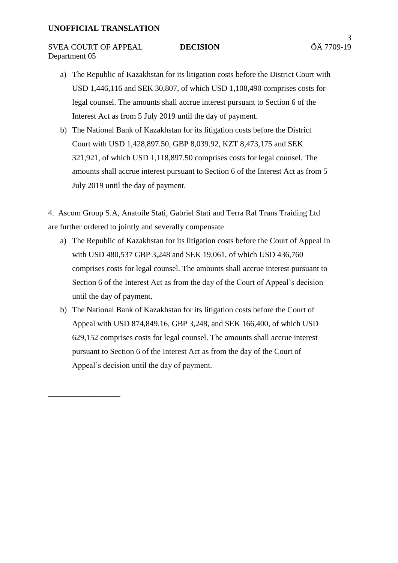SVEA COURT OF APPEAL **DECISION** ÖÄ 7709-19 Department 05

\_\_\_\_\_\_\_\_\_\_\_\_\_\_\_\_\_\_

- a) The Republic of Kazakhstan for its litigation costs before the District Court with USD 1,446,116 and SEK 30,807, of which USD 1,108,490 comprises costs for legal counsel. The amounts shall accrue interest pursuant to Section 6 of the Interest Act as from 5 July 2019 until the day of payment.
- b) The National Bank of Kazakhstan for its litigation costs before the District Court with USD 1,428,897.50, GBP 8,039.92, KZT 8,473,175 and SEK 321,921, of which USD 1,118,897.50 comprises costs for legal counsel. The amounts shall accrue interest pursuant to Section 6 of the Interest Act as from 5 July 2019 until the day of payment.

4. Ascom Group S.A, Anatoile Stati, Gabriel Stati and Terra Raf Trans Traiding Ltd are further ordered to jointly and severally compensate

- a) The Republic of Kazakhstan for its litigation costs before the Court of Appeal in with USD 480,537 GBP 3,248 and SEK 19,061, of which USD 436,760 comprises costs for legal counsel. The amounts shall accrue interest pursuant to Section 6 of the Interest Act as from the day of the Court of Appeal's decision until the day of payment.
- b) The National Bank of Kazakhstan for its litigation costs before the Court of Appeal with USD 874,849.16, GBP 3,248, and SEK 166,400, of which USD 629,152 comprises costs for legal counsel. The amounts shall accrue interest pursuant to Section 6 of the Interest Act as from the day of the Court of Appeal's decision until the day of payment.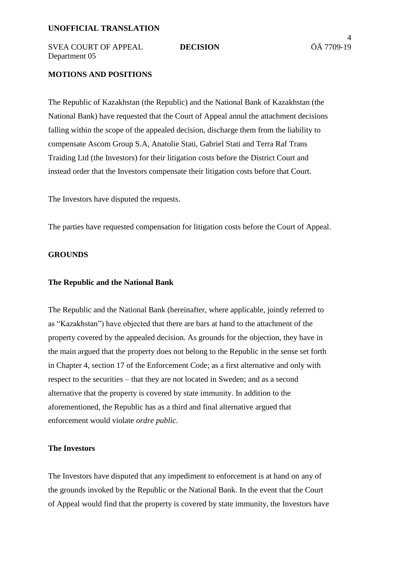## SVEA COURT OF APPEAL **DECISION** ÖÄ 7709-19 Department 05

## **MOTIONS AND POSITIONS**

The Republic of Kazakhstan (the Republic) and the National Bank of Kazakhstan (the National Bank) have requested that the Court of Appeal annul the attachment decisions falling within the scope of the appealed decision, discharge them from the liability to compensate Ascom Group S.A, Anatolie Stati, Gabriel Stati and Terra Raf Trans Traiding Ltd (the Investors) for their litigation costs before the District Court and instead order that the Investors compensate their litigation costs before that Court.

The Investors have disputed the requests.

The parties have requested compensation for litigation costs before the Court of Appeal.

## **GROUNDS**

## **The Republic and the National Bank**

The Republic and the National Bank (hereinafter, where applicable, jointly referred to as "Kazakhstan") have objected that there are bars at hand to the attachment of the property covered by the appealed decision. As grounds for the objection, they have in the main argued that the property does not belong to the Republic in the sense set forth in Chapter 4, section 17 of the Enforcement Code; as a first alternative and only with respect to the securities – that they are not located in Sweden; and as a second alternative that the property is covered by state immunity. In addition to the aforementioned, the Republic has as a third and final alternative argued that enforcement would violate *ordre public*.

### **The Investors**

The Investors have disputed that any impediment to enforcement is at hand on any of the grounds invoked by the Republic or the National Bank. In the event that the Court of Appeal would find that the property is covered by state immunity, the Investors have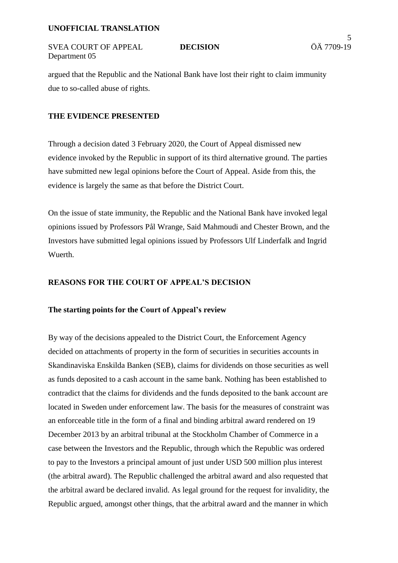## SVEA COURT OF APPEAL **DECISION** ÖÄ 7709-19 Department 05

argued that the Republic and the National Bank have lost their right to claim immunity due to so-called abuse of rights.

## **THE EVIDENCE PRESENTED**

Through a decision dated 3 February 2020, the Court of Appeal dismissed new evidence invoked by the Republic in support of its third alternative ground. The parties have submitted new legal opinions before the Court of Appeal. Aside from this, the evidence is largely the same as that before the District Court.

On the issue of state immunity, the Republic and the National Bank have invoked legal opinions issued by Professors Pål Wrange, Said Mahmoudi and Chester Brown, and the Investors have submitted legal opinions issued by Professors Ulf Linderfalk and Ingrid Wuerth.

## **REASONS FOR THE COURT OF APPEAL'S DECISION**

## **The starting points for the Court of Appeal's review**

By way of the decisions appealed to the District Court, the Enforcement Agency decided on attachments of property in the form of securities in securities accounts in Skandinaviska Enskilda Banken (SEB), claims for dividends on those securities as well as funds deposited to a cash account in the same bank. Nothing has been established to contradict that the claims for dividends and the funds deposited to the bank account are located in Sweden under enforcement law. The basis for the measures of constraint was an enforceable title in the form of a final and binding arbitral award rendered on 19 December 2013 by an arbitral tribunal at the Stockholm Chamber of Commerce in a case between the Investors and the Republic, through which the Republic was ordered to pay to the Investors a principal amount of just under USD 500 million plus interest (the arbitral award). The Republic challenged the arbitral award and also requested that the arbitral award be declared invalid. As legal ground for the request for invalidity, the Republic argued, amongst other things, that the arbitral award and the manner in which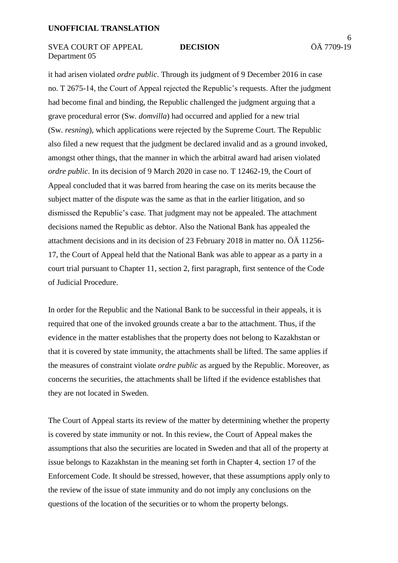## SVEA COURT OF APPEAL **DECISION** ÖÄ 7709-19 Department 05

it had arisen violated *ordre public*. Through its judgment of 9 December 2016 in case no. T 2675-14, the Court of Appeal rejected the Republic's requests. After the judgment had become final and binding, the Republic challenged the judgment arguing that a grave procedural error (Sw. *domvilla*) had occurred and applied for a new trial (Sw. *resning*), which applications were rejected by the Supreme Court. The Republic also filed a new request that the judgment be declared invalid and as a ground invoked, amongst other things, that the manner in which the arbitral award had arisen violated *ordre public*. In its decision of 9 March 2020 in case no. T 12462-19, the Court of Appeal concluded that it was barred from hearing the case on its merits because the subject matter of the dispute was the same as that in the earlier litigation, and so dismissed the Republic's case. That judgment may not be appealed. The attachment decisions named the Republic as debtor. Also the National Bank has appealed the attachment decisions and in its decision of 23 February 2018 in matter no. ÖÄ 11256- 17, the Court of Appeal held that the National Bank was able to appear as a party in a court trial pursuant to Chapter 11, section 2, first paragraph, first sentence of the Code of Judicial Procedure.

In order for the Republic and the National Bank to be successful in their appeals, it is required that one of the invoked grounds create a bar to the attachment. Thus, if the evidence in the matter establishes that the property does not belong to Kazakhstan or that it is covered by state immunity, the attachments shall be lifted. The same applies if the measures of constraint violate *ordre public* as argued by the Republic. Moreover, as concerns the securities, the attachments shall be lifted if the evidence establishes that they are not located in Sweden.

The Court of Appeal starts its review of the matter by determining whether the property is covered by state immunity or not. In this review, the Court of Appeal makes the assumptions that also the securities are located in Sweden and that all of the property at issue belongs to Kazakhstan in the meaning set forth in Chapter 4, section 17 of the Enforcement Code. It should be stressed, however, that these assumptions apply only to the review of the issue of state immunity and do not imply any conclusions on the questions of the location of the securities or to whom the property belongs.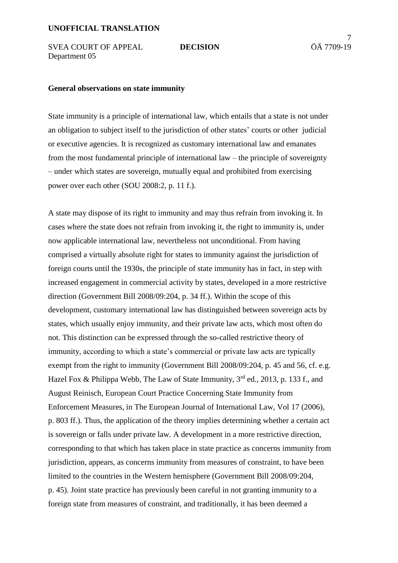SVEA COURT OF APPEAL **DECISION** ÖÄ 7709-19 Department 05

### **General observations on state immunity**

State immunity is a principle of international law, which entails that a state is not under an obligation to subject itself to the jurisdiction of other states' courts or other judicial or executive agencies. It is recognized as customary international law and emanates from the most fundamental principle of international law – the principle of sovereignty – under which states are sovereign, mutually equal and prohibited from exercising power over each other (SOU 2008:2, p. 11 f.).

A state may dispose of its right to immunity and may thus refrain from invoking it. In cases where the state does not refrain from invoking it, the right to immunity is, under now applicable international law, nevertheless not unconditional. From having comprised a virtually absolute right for states to immunity against the jurisdiction of foreign courts until the 1930s, the principle of state immunity has in fact, in step with increased engagement in commercial activity by states, developed in a more restrictive direction (Government Bill 2008/09:204, p. 34 ff.). Within the scope of this development, customary international law has distinguished between sovereign acts by states, which usually enjoy immunity, and their private law acts, which most often do not. This distinction can be expressed through the so-called restrictive theory of immunity, according to which a state's commercial or private law acts are typically exempt from the right to immunity (Government Bill 2008/09:204, p. 45 and 56, cf. e.g. Hazel Fox & Philippa Webb, The Law of State Immunity, 3<sup>rd</sup> ed., 2013, p. 133 f., and August Reinisch, European Court Practice Concerning State Immunity from Enforcement Measures, in The European Journal of International Law, Vol 17 (2006), p. 803 ff.). Thus, the application of the theory implies determining whether a certain act is sovereign or falls under private law. A development in a more restrictive direction, corresponding to that which has taken place in state practice as concerns immunity from jurisdiction, appears, as concerns immunity from measures of constraint, to have been limited to the countries in the Western hemisphere (Government Bill 2008/09:204, p. 45). Joint state practice has previously been careful in not granting immunity to a foreign state from measures of constraint, and traditionally, it has been deemed a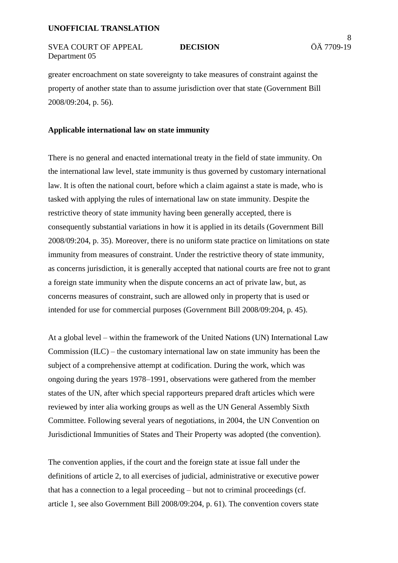SVEA COURT OF APPEAL **DECISION** ÖÄ 7709-19 Department 05

greater encroachment on state sovereignty to take measures of constraint against the property of another state than to assume jurisdiction over that state (Government Bill 2008/09:204, p. 56).

### **Applicable international law on state immunity**

There is no general and enacted international treaty in the field of state immunity. On the international law level, state immunity is thus governed by customary international law. It is often the national court, before which a claim against a state is made, who is tasked with applying the rules of international law on state immunity. Despite the restrictive theory of state immunity having been generally accepted, there is consequently substantial variations in how it is applied in its details (Government Bill 2008/09:204, p. 35). Moreover, there is no uniform state practice on limitations on state immunity from measures of constraint. Under the restrictive theory of state immunity, as concerns jurisdiction, it is generally accepted that national courts are free not to grant a foreign state immunity when the dispute concerns an act of private law, but, as concerns measures of constraint, such are allowed only in property that is used or intended for use for commercial purposes (Government Bill 2008/09:204, p. 45).

At a global level – within the framework of the United Nations (UN) International Law Commission (ILC) – the customary international law on state immunity has been the subject of a comprehensive attempt at codification. During the work, which was ongoing during the years 1978–1991, observations were gathered from the member states of the UN, after which special rapporteurs prepared draft articles which were reviewed by inter alia working groups as well as the UN General Assembly Sixth Committee. Following several years of negotiations, in 2004, the UN Convention on Jurisdictional Immunities of States and Their Property was adopted (the convention).

The convention applies, if the court and the foreign state at issue fall under the definitions of article 2, to all exercises of judicial, administrative or executive power that has a connection to a legal proceeding – but not to criminal proceedings (cf. article 1, see also Government Bill 2008/09:204, p. 61). The convention covers state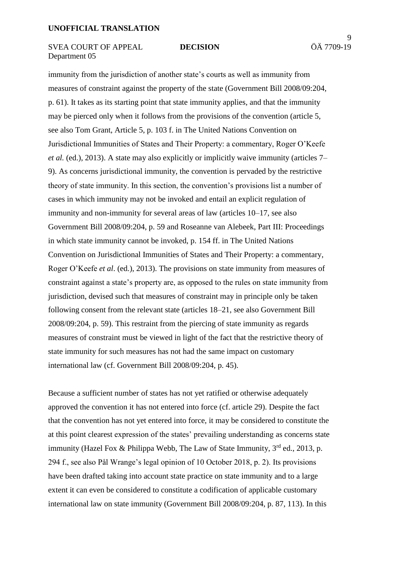## SVEA COURT OF APPEAL **DECISION** ÖÄ 7709-19 Department 05

immunity from the jurisdiction of another state's courts as well as immunity from measures of constraint against the property of the state (Government Bill 2008/09:204, p. 61). It takes as its starting point that state immunity applies, and that the immunity may be pierced only when it follows from the provisions of the convention (article 5, see also Tom Grant, Article 5, p. 103 f. in The United Nations Convention on Jurisdictional Immunities of States and Their Property: a commentary, Roger O'Keefe *et al.* (ed.), 2013). A state may also explicitly or implicitly waive immunity (articles 7– 9). As concerns jurisdictional immunity, the convention is pervaded by the restrictive theory of state immunity. In this section, the convention's provisions list a number of cases in which immunity may not be invoked and entail an explicit regulation of immunity and non-immunity for several areas of law (articles 10–17, see also Government Bill 2008/09:204, p. 59 and Roseanne van Alebeek, Part III: Proceedings in which state immunity cannot be invoked, p. 154 ff. in The United Nations Convention on Jurisdictional Immunities of States and Their Property: a commentary, Roger O'Keefe *et al*. (ed.), 2013). The provisions on state immunity from measures of constraint against a state's property are, as opposed to the rules on state immunity from jurisdiction, devised such that measures of constraint may in principle only be taken following consent from the relevant state (articles 18–21, see also Government Bill 2008/09:204, p. 59). This restraint from the piercing of state immunity as regards measures of constraint must be viewed in light of the fact that the restrictive theory of state immunity for such measures has not had the same impact on customary international law (cf. Government Bill 2008/09:204, p. 45).

Because a sufficient number of states has not yet ratified or otherwise adequately approved the convention it has not entered into force (cf. article 29). Despite the fact that the convention has not yet entered into force, it may be considered to constitute the at this point clearest expression of the states' prevailing understanding as concerns state immunity (Hazel Fox & Philippa Webb, The Law of State Immunity, 3<sup>rd</sup> ed., 2013, p. 294 f., see also Pål Wrange's legal opinion of 10 October 2018, p. 2). Its provisions have been drafted taking into account state practice on state immunity and to a large extent it can even be considered to constitute a codification of applicable customary international law on state immunity (Government Bill 2008/09:204, p. 87, 113). In this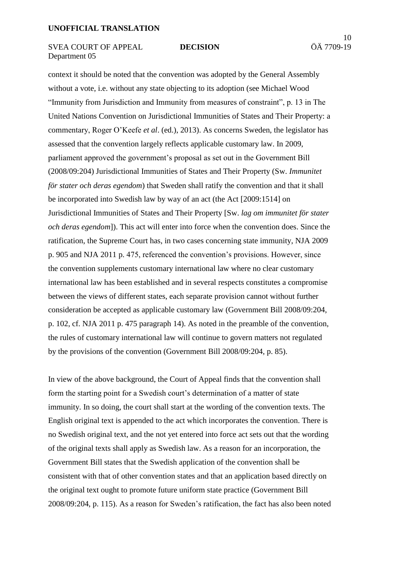## SVEA COURT OF APPEAL **DECISION** ÖÄ 7709-19 Department 05

context it should be noted that the convention was adopted by the General Assembly without a vote, i.e. without any state objecting to its adoption (see Michael Wood "Immunity from Jurisdiction and Immunity from measures of constraint", p. 13 in The United Nations Convention on Jurisdictional Immunities of States and Their Property: a commentary, Roger O'Keefe *et al*. (ed.), 2013). As concerns Sweden, the legislator has assessed that the convention largely reflects applicable customary law. In 2009, parliament approved the government's proposal as set out in the Government Bill (2008/09:204) Jurisdictional Immunities of States and Their Property (Sw. *Immunitet för stater och deras egendom*) that Sweden shall ratify the convention and that it shall be incorporated into Swedish law by way of an act (the Act [2009:1514] on Jurisdictional Immunities of States and Their Property [Sw. *lag om immunitet för stater och deras egendom*]). This act will enter into force when the convention does. Since the ratification, the Supreme Court has, in two cases concerning state immunity, NJA 2009 p. 905 and NJA 2011 p. 475, referenced the convention's provisions. However, since the convention supplements customary international law where no clear customary international law has been established and in several respects constitutes a compromise between the views of different states, each separate provision cannot without further consideration be accepted as applicable customary law (Government Bill 2008/09:204, p. 102, cf. NJA 2011 p. 475 paragraph 14). As noted in the preamble of the convention, the rules of customary international law will continue to govern matters not regulated by the provisions of the convention (Government Bill 2008/09:204, p. 85).

In view of the above background, the Court of Appeal finds that the convention shall form the starting point for a Swedish court's determination of a matter of state immunity. In so doing, the court shall start at the wording of the convention texts. The English original text is appended to the act which incorporates the convention. There is no Swedish original text, and the not yet entered into force act sets out that the wording of the original texts shall apply as Swedish law. As a reason for an incorporation, the Government Bill states that the Swedish application of the convention shall be consistent with that of other convention states and that an application based directly on the original text ought to promote future uniform state practice (Government Bill 2008/09:204, p. 115). As a reason for Sweden's ratification, the fact has also been noted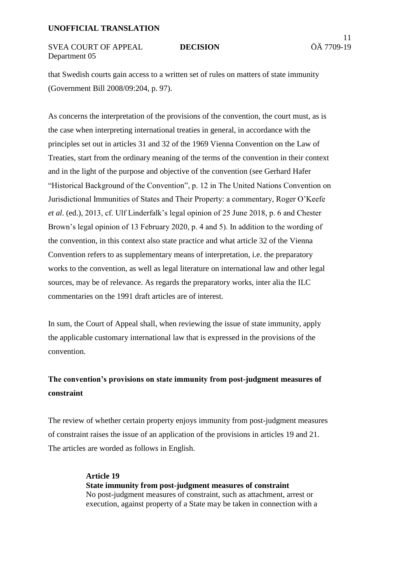SVEA COURT OF APPEAL **DECISION** ÖÄ 7709-19 Department 05

that Swedish courts gain access to a written set of rules on matters of state immunity (Government Bill 2008/09:204, p. 97).

As concerns the interpretation of the provisions of the convention, the court must, as is the case when interpreting international treaties in general, in accordance with the principles set out in articles 31 and 32 of the 1969 Vienna Convention on the Law of Treaties, start from the ordinary meaning of the terms of the convention in their context and in the light of the purpose and objective of the convention (see Gerhard Hafer "Historical Background of the Convention", p. 12 in The United Nations Convention on Jurisdictional Immunities of States and Their Property: a commentary, Roger O'Keefe *et al*. (ed.), 2013, cf. Ulf Linderfalk's legal opinion of 25 June 2018, p. 6 and Chester Brown's legal opinion of 13 February 2020, p. 4 and 5). In addition to the wording of the convention, in this context also state practice and what article 32 of the Vienna Convention refers to as supplementary means of interpretation, i.e. the preparatory works to the convention, as well as legal literature on international law and other legal sources, may be of relevance. As regards the preparatory works, inter alia the ILC commentaries on the 1991 draft articles are of interest.

In sum, the Court of Appeal shall, when reviewing the issue of state immunity, apply the applicable customary international law that is expressed in the provisions of the convention.

# **The convention's provisions on state immunity from post-judgment measures of constraint**

The review of whether certain property enjoys immunity from post-judgment measures of constraint raises the issue of an application of the provisions in articles 19 and 21. The articles are worded as follows in English.

> **Article 19 State immunity from post-judgment measures of constraint** No post-judgment measures of constraint, such as attachment, arrest or execution, against property of a State may be taken in connection with a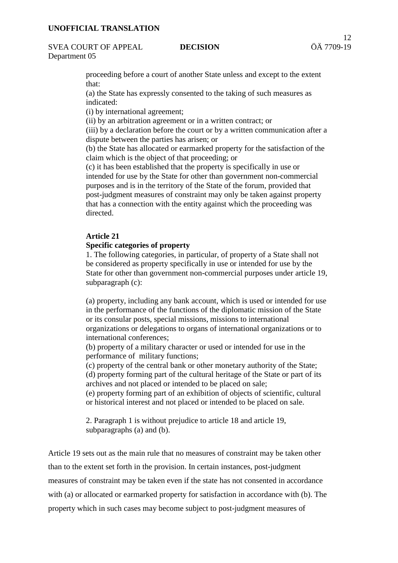proceeding before a court of another State unless and except to the extent that:

(a) the State has expressly consented to the taking of such measures as indicated:

(i) by international agreement;

(ii) by an arbitration agreement or in a written contract; or

(iii) by a declaration before the court or by a written communication after a dispute between the parties has arisen; or

(b) the State has allocated or earmarked property for the satisfaction of the claim which is the object of that proceeding; or

(c) it has been established that the property is specifically in use or intended for use by the State for other than government non-commercial purposes and is in the territory of the State of the forum, provided that post-judgment measures of constraint may only be taken against property that has a connection with the entity against which the proceeding was directed.

### **Article 21**

### **Specific categories of property**

1. The following categories, in particular, of property of a State shall not be considered as property specifically in use or intended for use by the State for other than government non-commercial purposes under article 19, subparagraph (c):

(a) property, including any bank account, which is used or intended for use in the performance of the functions of the diplomatic mission of the State or its consular posts, special missions, missions to international organizations or delegations to organs of international organizations or to international conferences;

(b) property of a military character or used or intended for use in the performance of military functions;

(c) property of the central bank or other monetary authority of the State; (d) property forming part of the cultural heritage of the State or part of its archives and not placed or intended to be placed on sale;

(e) property forming part of an exhibition of objects of scientific, cultural or historical interest and not placed or intended to be placed on sale.

2. Paragraph 1 is without prejudice to article 18 and article 19, subparagraphs (a) and (b).

Article 19 sets out as the main rule that no measures of constraint may be taken other than to the extent set forth in the provision. In certain instances, post-judgment measures of constraint may be taken even if the state has not consented in accordance with (a) or allocated or earmarked property for satisfaction in accordance with (b). The property which in such cases may become subject to post-judgment measures of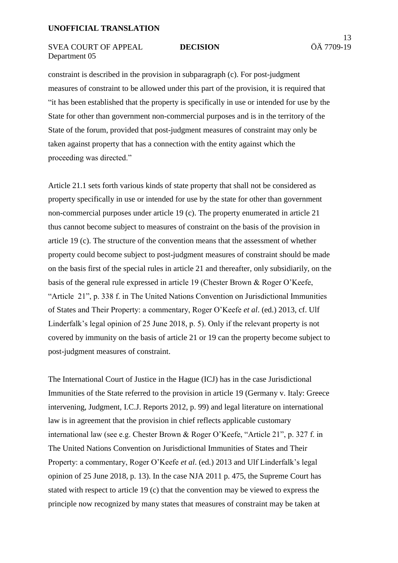## SVEA COURT OF APPEAL **DECISION** ÖÄ 7709-19 Department 05

constraint is described in the provision in subparagraph (c). For post-judgment measures of constraint to be allowed under this part of the provision, it is required that "it has been established that the property is specifically in use or intended for use by the State for other than government non-commercial purposes and is in the territory of the State of the forum, provided that post-judgment measures of constraint may only be taken against property that has a connection with the entity against which the proceeding was directed."

Article 21.1 sets forth various kinds of state property that shall not be considered as property specifically in use or intended for use by the state for other than government non-commercial purposes under article 19 (c). The property enumerated in article 21 thus cannot become subject to measures of constraint on the basis of the provision in article 19 (c). The structure of the convention means that the assessment of whether property could become subject to post-judgment measures of constraint should be made on the basis first of the special rules in article 21 and thereafter, only subsidiarily, on the basis of the general rule expressed in article 19 (Chester Brown & Roger O'Keefe, "Article 21", p. 338 f. in The United Nations Convention on Jurisdictional Immunities of States and Their Property: a commentary, Roger O'Keefe *et al*. (ed.) 2013, cf. Ulf Linderfalk's legal opinion of 25 June 2018, p. 5). Only if the relevant property is not covered by immunity on the basis of article 21 or 19 can the property become subject to post-judgment measures of constraint.

The International Court of Justice in the Hague (ICJ) has in the case Jurisdictional Immunities of the State referred to the provision in article 19 (Germany v. Italy: Greece intervening, Judgment, I.C.J. Reports 2012, p. 99) and legal literature on international law is in agreement that the provision in chief reflects applicable customary international law (see e.g. Chester Brown & Roger O'Keefe, "Article 21", p. 327 f. in The United Nations Convention on Jurisdictional Immunities of States and Their Property: a commentary, Roger O'Keefe *et al*. (ed.) 2013 and Ulf Linderfalk's legal opinion of 25 June 2018, p. 13). In the case NJA 2011 p. 475, the Supreme Court has stated with respect to article 19 (c) that the convention may be viewed to express the principle now recognized by many states that measures of constraint may be taken at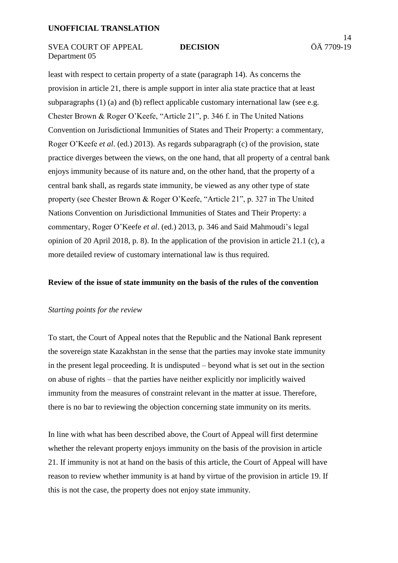## SVEA COURT OF APPEAL **DECISION** ÖÄ 7709-19 Department 05

least with respect to certain property of a state (paragraph 14). As concerns the provision in article 21, there is ample support in inter alia state practice that at least subparagraphs (1) (a) and (b) reflect applicable customary international law (see e.g. Chester Brown & Roger O'Keefe, "Article 21", p. 346 f. in The United Nations Convention on Jurisdictional Immunities of States and Their Property: a commentary, Roger O'Keefe *et al*. (ed.) 2013). As regards subparagraph (c) of the provision, state practice diverges between the views, on the one hand, that all property of a central bank enjoys immunity because of its nature and, on the other hand, that the property of a central bank shall, as regards state immunity, be viewed as any other type of state property (see Chester Brown & Roger O'Keefe, "Article 21", p. 327 in The United Nations Convention on Jurisdictional Immunities of States and Their Property: a commentary, Roger O'Keefe *et al*. (ed.) 2013, p. 346 and Said Mahmoudi's legal opinion of 20 April 2018, p. 8). In the application of the provision in article 21.1 (c), a more detailed review of customary international law is thus required.

## **Review of the issue of state immunity on the basis of the rules of the convention**

### *Starting points for the review*

To start, the Court of Appeal notes that the Republic and the National Bank represent the sovereign state Kazakhstan in the sense that the parties may invoke state immunity in the present legal proceeding. It is undisputed – beyond what is set out in the section on abuse of rights – that the parties have neither explicitly nor implicitly waived immunity from the measures of constraint relevant in the matter at issue. Therefore, there is no bar to reviewing the objection concerning state immunity on its merits.

In line with what has been described above, the Court of Appeal will first determine whether the relevant property enjoys immunity on the basis of the provision in article 21. If immunity is not at hand on the basis of this article, the Court of Appeal will have reason to review whether immunity is at hand by virtue of the provision in article 19. If this is not the case, the property does not enjoy state immunity.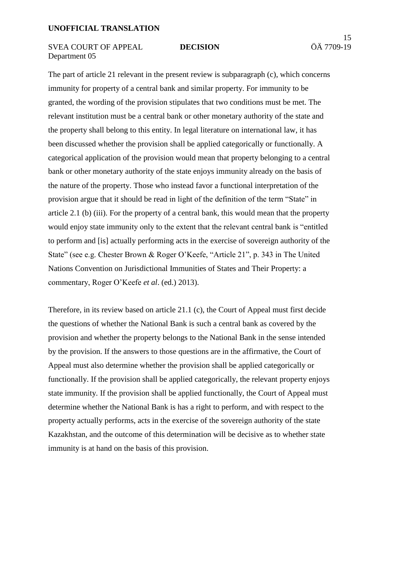## SVEA COURT OF APPEAL **DECISION** ÖÄ 7709-19 Department 05

The part of article 21 relevant in the present review is subparagraph (c), which concerns immunity for property of a central bank and similar property. For immunity to be granted, the wording of the provision stipulates that two conditions must be met. The relevant institution must be a central bank or other monetary authority of the state and the property shall belong to this entity. In legal literature on international law, it has been discussed whether the provision shall be applied categorically or functionally. A categorical application of the provision would mean that property belonging to a central bank or other monetary authority of the state enjoys immunity already on the basis of the nature of the property. Those who instead favor a functional interpretation of the provision argue that it should be read in light of the definition of the term "State" in article 2.1 (b) (iii). For the property of a central bank, this would mean that the property would enjoy state immunity only to the extent that the relevant central bank is "entitled to perform and [is] actually performing acts in the exercise of sovereign authority of the State" (see e.g. Chester Brown & Roger O'Keefe, "Article 21", p. 343 in The United Nations Convention on Jurisdictional Immunities of States and Their Property: a commentary, Roger O'Keefe *et al*. (ed.) 2013).

Therefore, in its review based on article 21.1 (c), the Court of Appeal must first decide the questions of whether the National Bank is such a central bank as covered by the provision and whether the property belongs to the National Bank in the sense intended by the provision. If the answers to those questions are in the affirmative, the Court of Appeal must also determine whether the provision shall be applied categorically or functionally. If the provision shall be applied categorically, the relevant property enjoys state immunity. If the provision shall be applied functionally, the Court of Appeal must determine whether the National Bank is has a right to perform, and with respect to the property actually performs, acts in the exercise of the sovereign authority of the state Kazakhstan, and the outcome of this determination will be decisive as to whether state immunity is at hand on the basis of this provision.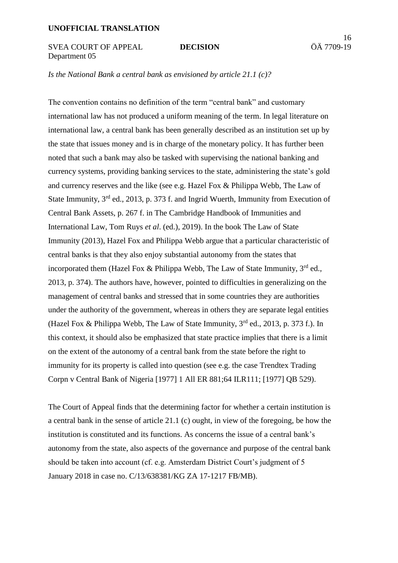## SVEA COURT OF APPEAL **DECISION** ÖÄ 7709-19 Department 05

## *Is the National Bank a central bank as envisioned by article 21.1 (c)?*

The convention contains no definition of the term "central bank" and customary international law has not produced a uniform meaning of the term. In legal literature on international law, a central bank has been generally described as an institution set up by the state that issues money and is in charge of the monetary policy. It has further been noted that such a bank may also be tasked with supervising the national banking and currency systems, providing banking services to the state, administering the state's gold and currency reserves and the like (see e.g. Hazel Fox & Philippa Webb, The Law of State Immunity,  $3^{rd}$  ed., 2013, p. 373 f. and Ingrid Wuerth, Immunity from Execution of Central Bank Assets, p. 267 f. in The Cambridge Handbook of Immunities and International Law, Tom Ruys *et al*. (ed.), 2019). In the book The Law of State Immunity (2013), Hazel Fox and Philippa Webb argue that a particular characteristic of central banks is that they also enjoy substantial autonomy from the states that incorporated them (Hazel Fox & Philippa Webb, The Law of State Immunity,  $3<sup>rd</sup>$  ed., 2013, p. 374). The authors have, however, pointed to difficulties in generalizing on the management of central banks and stressed that in some countries they are authorities under the authority of the government, whereas in others they are separate legal entities (Hazel Fox & Philippa Webb, The Law of State Immunity, 3rd ed., 2013, p. 373 f.). In this context, it should also be emphasized that state practice implies that there is a limit on the extent of the autonomy of a central bank from the state before the right to immunity for its property is called into question (see e.g. the case Trendtex Trading Corpn v Central Bank of Nigeria [1977] 1 All ER 881;64 ILR111; [1977] QB 529).

The Court of Appeal finds that the determining factor for whether a certain institution is a central bank in the sense of article 21.1 (c) ought, in view of the foregoing, be how the institution is constituted and its functions. As concerns the issue of a central bank's autonomy from the state, also aspects of the governance and purpose of the central bank should be taken into account (cf. e.g. Amsterdam District Court's judgment of 5 January 2018 in case no. C/13/638381/KG ZA 17-1217 FB/MB).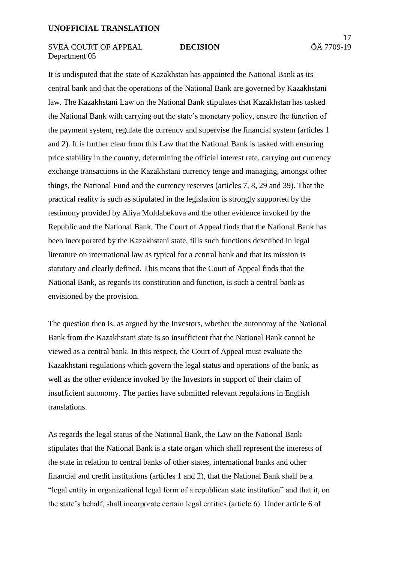## SVEA COURT OF APPEAL **DECISION** ÖÄ 7709-19 Department 05

It is undisputed that the state of Kazakhstan has appointed the National Bank as its central bank and that the operations of the National Bank are governed by Kazakhstani law. The Kazakhstani Law on the National Bank stipulates that Kazakhstan has tasked the National Bank with carrying out the state's monetary policy, ensure the function of the payment system, regulate the currency and supervise the financial system (articles 1 and 2). It is further clear from this Law that the National Bank is tasked with ensuring price stability in the country, determining the official interest rate, carrying out currency exchange transactions in the Kazakhstani currency tenge and managing, amongst other things, the National Fund and the currency reserves (articles 7, 8, 29 and 39). That the practical reality is such as stipulated in the legislation is strongly supported by the testimony provided by Aliya Moldabekova and the other evidence invoked by the Republic and the National Bank. The Court of Appeal finds that the National Bank has been incorporated by the Kazakhstani state, fills such functions described in legal literature on international law as typical for a central bank and that its mission is statutory and clearly defined. This means that the Court of Appeal finds that the National Bank, as regards its constitution and function, is such a central bank as envisioned by the provision.

The question then is, as argued by the Investors, whether the autonomy of the National Bank from the Kazakhstani state is so insufficient that the National Bank cannot be viewed as a central bank. In this respect, the Court of Appeal must evaluate the Kazakhstani regulations which govern the legal status and operations of the bank, as well as the other evidence invoked by the Investors in support of their claim of insufficient autonomy. The parties have submitted relevant regulations in English translations.

As regards the legal status of the National Bank, the Law on the National Bank stipulates that the National Bank is a state organ which shall represent the interests of the state in relation to central banks of other states, international banks and other financial and credit institutions (articles 1 and 2), that the National Bank shall be a "legal entity in organizational legal form of a republican state institution" and that it, on the state's behalf, shall incorporate certain legal entities (article 6). Under article 6 of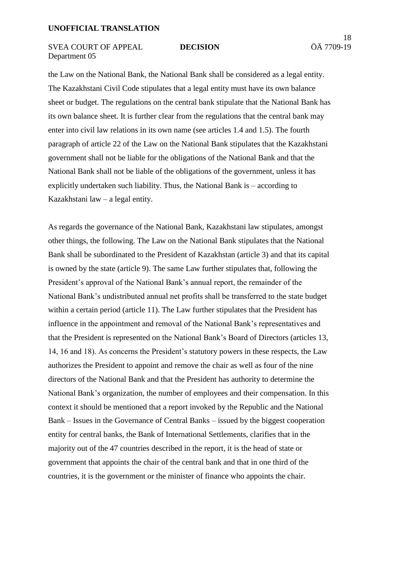## SVEA COURT OF APPEAL **DECISION** ÖÄ 7709-19 Department 05

the Law on the National Bank, the National Bank shall be considered as a legal entity. The Kazakhstani Civil Code stipulates that a legal entity must have its own balance sheet or budget. The regulations on the central bank stipulate that the National Bank has its own balance sheet. It is further clear from the regulations that the central bank may enter into civil law relations in its own name (see articles 1.4 and 1.5). The fourth paragraph of article 22 of the Law on the National Bank stipulates that the Kazakhstani government shall not be liable for the obligations of the National Bank and that the National Bank shall not be liable of the obligations of the government, unless it has explicitly undertaken such liability. Thus, the National Bank is – according to Kazakhstani law – a legal entity.

As regards the governance of the National Bank, Kazakhstani law stipulates, amongst other things, the following. The Law on the National Bank stipulates that the National Bank shall be subordinated to the President of Kazakhstan (article 3) and that its capital is owned by the state (article 9). The same Law further stipulates that, following the President's approval of the National Bank's annual report, the remainder of the National Bank's undistributed annual net profits shall be transferred to the state budget within a certain period (article 11). The Law further stipulates that the President has influence in the appointment and removal of the National Bank's representatives and that the President is represented on the National Bank's Board of Directors (articles 13, 14, 16 and 18). As concerns the President's statutory powers in these respects, the Law authorizes the President to appoint and remove the chair as well as four of the nine directors of the National Bank and that the President has authority to determine the National Bank's organization, the number of employees and their compensation. In this context it should be mentioned that a report invoked by the Republic and the National Bank – Issues in the Governance of Central Banks – issued by the biggest cooperation entity for central banks, the Bank of International Settlements, clarifies that in the majority out of the 47 countries described in the report, it is the head of state or government that appoints the chair of the central bank and that in one third of the countries, it is the government or the minister of finance who appoints the chair.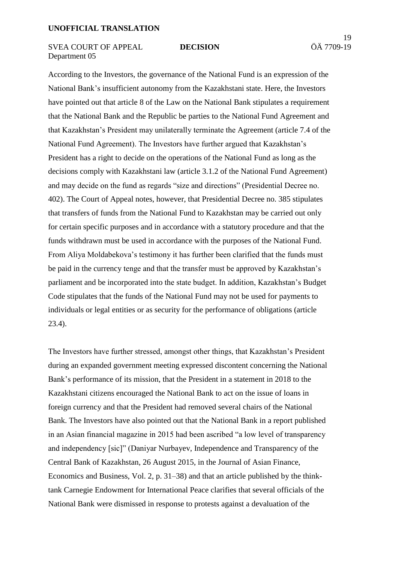## SVEA COURT OF APPEAL **DECISION** ÖÄ 7709-19 Department 05

According to the Investors, the governance of the National Fund is an expression of the National Bank's insufficient autonomy from the Kazakhstani state. Here, the Investors have pointed out that article 8 of the Law on the National Bank stipulates a requirement that the National Bank and the Republic be parties to the National Fund Agreement and that Kazakhstan's President may unilaterally terminate the Agreement (article 7.4 of the National Fund Agreement). The Investors have further argued that Kazakhstan's President has a right to decide on the operations of the National Fund as long as the decisions comply with Kazakhstani law (article 3.1.2 of the National Fund Agreement) and may decide on the fund as regards "size and directions" (Presidential Decree no. 402). The Court of Appeal notes, however, that Presidential Decree no. 385 stipulates that transfers of funds from the National Fund to Kazakhstan may be carried out only for certain specific purposes and in accordance with a statutory procedure and that the funds withdrawn must be used in accordance with the purposes of the National Fund. From Aliya Moldabekova's testimony it has further been clarified that the funds must be paid in the currency tenge and that the transfer must be approved by Kazakhstan's parliament and be incorporated into the state budget. In addition, Kazakhstan's Budget Code stipulates that the funds of the National Fund may not be used for payments to individuals or legal entities or as security for the performance of obligations (article 23.4).

The Investors have further stressed, amongst other things, that Kazakhstan's President during an expanded government meeting expressed discontent concerning the National Bank's performance of its mission, that the President in a statement in 2018 to the Kazakhstani citizens encouraged the National Bank to act on the issue of loans in foreign currency and that the President had removed several chairs of the National Bank. The Investors have also pointed out that the National Bank in a report published in an Asian financial magazine in 2015 had been ascribed "a low level of transparency and independency [sic]" (Daniyar Nurbayev, Independence and Transparency of the Central Bank of Kazakhstan, 26 August 2015, in the Journal of Asian Finance, Economics and Business, Vol. 2, p. 31–38) and that an article published by the thinktank Carnegie Endowment for International Peace clarifies that several officials of the National Bank were dismissed in response to protests against a devaluation of the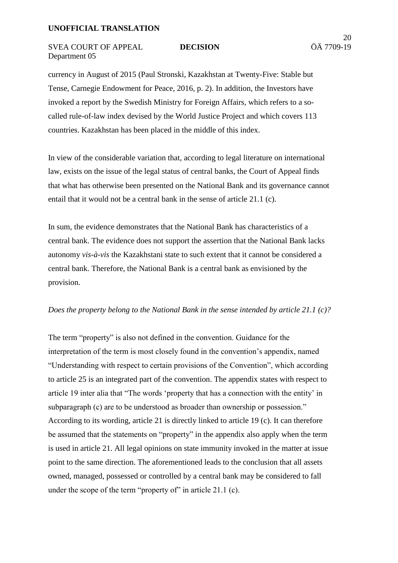## SVEA COURT OF APPEAL **DECISION** ÖÄ 7709-19 Department 05

currency in August of 2015 (Paul Stronski, Kazakhstan at Twenty-Five: Stable but Tense, Carnegie Endowment for Peace, 2016, p. 2). In addition, the Investors have invoked a report by the Swedish Ministry for Foreign Affairs, which refers to a socalled rule-of-law index devised by the World Justice Project and which covers 113 countries. Kazakhstan has been placed in the middle of this index.

In view of the considerable variation that, according to legal literature on international law, exists on the issue of the legal status of central banks, the Court of Appeal finds that what has otherwise been presented on the National Bank and its governance cannot entail that it would not be a central bank in the sense of article 21.1 (c).

In sum, the evidence demonstrates that the National Bank has characteristics of a central bank. The evidence does not support the assertion that the National Bank lacks autonomy *vis-à-vis* the Kazakhstani state to such extent that it cannot be considered a central bank. Therefore, the National Bank is a central bank as envisioned by the provision.

### *Does the property belong to the National Bank in the sense intended by article 21.1 (c)?*

The term "property" is also not defined in the convention. Guidance for the interpretation of the term is most closely found in the convention's appendix, named "Understanding with respect to certain provisions of the Convention", which according to article 25 is an integrated part of the convention. The appendix states with respect to article 19 inter alia that "The words 'property that has a connection with the entity' in subparagraph (c) are to be understood as broader than ownership or possession." According to its wording, article 21 is directly linked to article 19 (c). It can therefore be assumed that the statements on "property" in the appendix also apply when the term is used in article 21. All legal opinions on state immunity invoked in the matter at issue point to the same direction. The aforementioned leads to the conclusion that all assets owned, managed, possessed or controlled by a central bank may be considered to fall under the scope of the term "property of" in article 21.1 (c).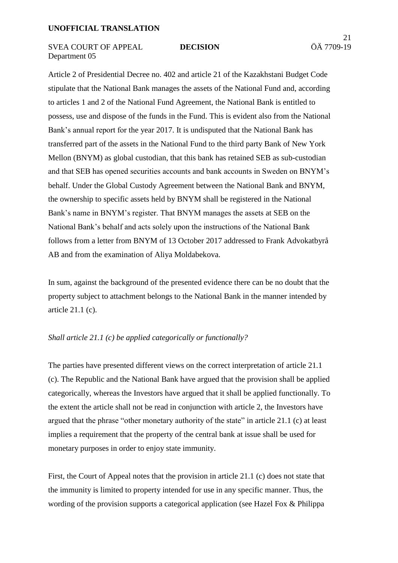## SVEA COURT OF APPEAL **DECISION** ÖÄ 7709-19 Department 05

Article 2 of Presidential Decree no. 402 and article 21 of the Kazakhstani Budget Code stipulate that the National Bank manages the assets of the National Fund and, according to articles 1 and 2 of the National Fund Agreement, the National Bank is entitled to possess, use and dispose of the funds in the Fund. This is evident also from the National Bank's annual report for the year 2017. It is undisputed that the National Bank has transferred part of the assets in the National Fund to the third party Bank of New York Mellon (BNYM) as global custodian, that this bank has retained SEB as sub-custodian and that SEB has opened securities accounts and bank accounts in Sweden on BNYM's behalf. Under the Global Custody Agreement between the National Bank and BNYM, the ownership to specific assets held by BNYM shall be registered in the National Bank's name in BNYM's register. That BNYM manages the assets at SEB on the National Bank's behalf and acts solely upon the instructions of the National Bank follows from a letter from BNYM of 13 October 2017 addressed to Frank Advokatbyrå AB and from the examination of Aliya Moldabekova.

In sum, against the background of the presented evidence there can be no doubt that the property subject to attachment belongs to the National Bank in the manner intended by article 21.1 (c).

### *Shall article 21.1 (c) be applied categorically or functionally?*

The parties have presented different views on the correct interpretation of article 21.1 (c). The Republic and the National Bank have argued that the provision shall be applied categorically, whereas the Investors have argued that it shall be applied functionally. To the extent the article shall not be read in conjunction with article 2, the Investors have argued that the phrase "other monetary authority of the state" in article 21.1 (c) at least implies a requirement that the property of the central bank at issue shall be used for monetary purposes in order to enjoy state immunity.

First, the Court of Appeal notes that the provision in article 21.1 (c) does not state that the immunity is limited to property intended for use in any specific manner. Thus, the wording of the provision supports a categorical application (see Hazel Fox & Philippa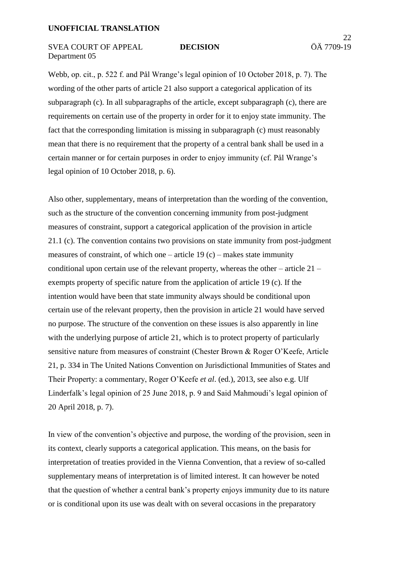## SVEA COURT OF APPEAL **DECISION** ÖÄ 7709-19 Department 05

Webb, op. cit., p. 522 f. and Pål Wrange's legal opinion of 10 October 2018, p. 7). The wording of the other parts of article 21 also support a categorical application of its subparagraph (c). In all subparagraphs of the article, except subparagraph (c), there are requirements on certain use of the property in order for it to enjoy state immunity. The fact that the corresponding limitation is missing in subparagraph (c) must reasonably mean that there is no requirement that the property of a central bank shall be used in a certain manner or for certain purposes in order to enjoy immunity (cf. Pål Wrange's legal opinion of 10 October 2018, p. 6).

Also other, supplementary, means of interpretation than the wording of the convention, such as the structure of the convention concerning immunity from post-judgment measures of constraint, support a categorical application of the provision in article 21.1 (c). The convention contains two provisions on state immunity from post-judgment measures of constraint, of which one – article  $19(c)$  – makes state immunity conditional upon certain use of the relevant property, whereas the other – article  $21$  – exempts property of specific nature from the application of article 19 (c). If the intention would have been that state immunity always should be conditional upon certain use of the relevant property, then the provision in article 21 would have served no purpose. The structure of the convention on these issues is also apparently in line with the underlying purpose of article 21, which is to protect property of particularly sensitive nature from measures of constraint (Chester Brown & Roger O'Keefe, Article 21, p. 334 in The United Nations Convention on Jurisdictional Immunities of States and Their Property: a commentary, Roger O'Keefe *et al*. (ed.), 2013, see also e.g. Ulf Linderfalk's legal opinion of 25 June 2018, p. 9 and Said Mahmoudi's legal opinion of 20 April 2018, p. 7).

In view of the convention's objective and purpose, the wording of the provision, seen in its context, clearly supports a categorical application. This means, on the basis for interpretation of treaties provided in the Vienna Convention, that a review of so-called supplementary means of interpretation is of limited interest. It can however be noted that the question of whether a central bank's property enjoys immunity due to its nature or is conditional upon its use was dealt with on several occasions in the preparatory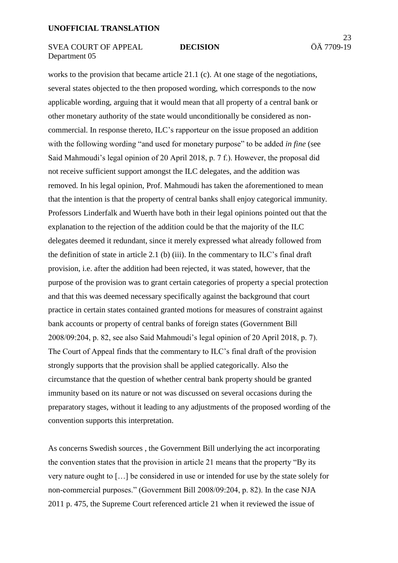## SVEA COURT OF APPEAL **DECISION** ÖÄ 7709-19 Department 05

works to the provision that became article 21.1 (c). At one stage of the negotiations, several states objected to the then proposed wording, which corresponds to the now applicable wording, arguing that it would mean that all property of a central bank or other monetary authority of the state would unconditionally be considered as noncommercial. In response thereto, ILC's rapporteur on the issue proposed an addition with the following wording "and used for monetary purpose" to be added *in fine* (see Said Mahmoudi's legal opinion of 20 April 2018, p. 7 f.). However, the proposal did not receive sufficient support amongst the ILC delegates, and the addition was removed. In his legal opinion, Prof. Mahmoudi has taken the aforementioned to mean that the intention is that the property of central banks shall enjoy categorical immunity. Professors Linderfalk and Wuerth have both in their legal opinions pointed out that the explanation to the rejection of the addition could be that the majority of the ILC delegates deemed it redundant, since it merely expressed what already followed from the definition of state in article 2.1 (b) (iii). In the commentary to ILC's final draft provision, i.e. after the addition had been rejected, it was stated, however, that the purpose of the provision was to grant certain categories of property a special protection and that this was deemed necessary specifically against the background that court practice in certain states contained granted motions for measures of constraint against bank accounts or property of central banks of foreign states (Government Bill 2008/09:204, p. 82, see also Said Mahmoudi's legal opinion of 20 April 2018, p. 7). The Court of Appeal finds that the commentary to ILC's final draft of the provision strongly supports that the provision shall be applied categorically. Also the circumstance that the question of whether central bank property should be granted immunity based on its nature or not was discussed on several occasions during the preparatory stages, without it leading to any adjustments of the proposed wording of the convention supports this interpretation.

As concerns Swedish sources , the Government Bill underlying the act incorporating the convention states that the provision in article 21 means that the property "By its very nature ought to […] be considered in use or intended for use by the state solely for non-commercial purposes." (Government Bill 2008/09:204, p. 82). In the case NJA 2011 p. 475, the Supreme Court referenced article 21 when it reviewed the issue of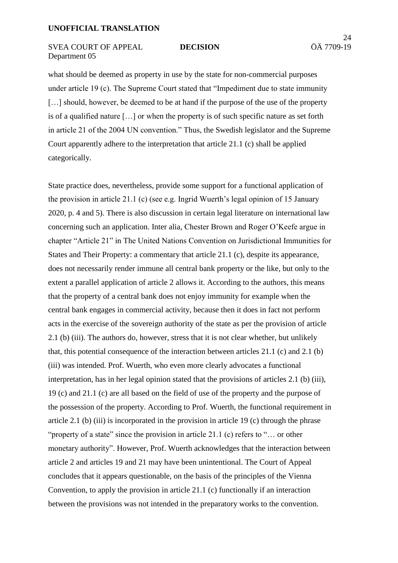## SVEA COURT OF APPEAL **DECISION** ÖÄ 7709-19 Department 05

what should be deemed as property in use by the state for non-commercial purposes under article 19 (c). The Supreme Court stated that "Impediment due to state immunity [...] should, however, be deemed to be at hand if the purpose of the use of the property is of a qualified nature […] or when the property is of such specific nature as set forth in article 21 of the 2004 UN convention." Thus, the Swedish legislator and the Supreme Court apparently adhere to the interpretation that article 21.1 (c) shall be applied categorically.

State practice does, nevertheless, provide some support for a functional application of the provision in article 21.1 (c) (see e.g. Ingrid Wuerth's legal opinion of 15 January 2020, p. 4 and 5). There is also discussion in certain legal literature on international law concerning such an application. Inter alia, Chester Brown and Roger O'Keefe argue in chapter "Article 21" in The United Nations Convention on Jurisdictional Immunities for States and Their Property: a commentary that article 21.1 (c), despite its appearance, does not necessarily render immune all central bank property or the like, but only to the extent a parallel application of article 2 allows it. According to the authors, this means that the property of a central bank does not enjoy immunity for example when the central bank engages in commercial activity, because then it does in fact not perform acts in the exercise of the sovereign authority of the state as per the provision of article 2.1 (b) (iii). The authors do, however, stress that it is not clear whether, but unlikely that, this potential consequence of the interaction between articles 21.1 (c) and 2.1 (b) (iii) was intended. Prof. Wuerth, who even more clearly advocates a functional interpretation, has in her legal opinion stated that the provisions of articles 2.1 (b) (iii), 19 (c) and 21.1 (c) are all based on the field of use of the property and the purpose of the possession of the property. According to Prof. Wuerth, the functional requirement in article 2.1 (b) (iii) is incorporated in the provision in article 19 (c) through the phrase "property of a state" since the provision in article 21.1 (c) refers to "... or other monetary authority". However, Prof. Wuerth acknowledges that the interaction between article 2 and articles 19 and 21 may have been unintentional. The Court of Appeal concludes that it appears questionable, on the basis of the principles of the Vienna Convention, to apply the provision in article 21.1 (c) functionally if an interaction between the provisions was not intended in the preparatory works to the convention.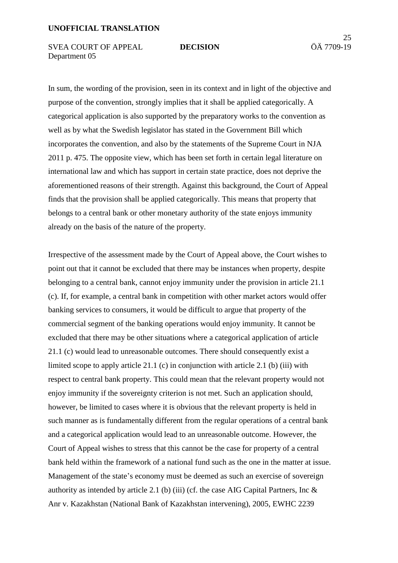## SVEA COURT OF APPEAL **DECISION** ÖÄ 7709-19 Department 05

In sum, the wording of the provision, seen in its context and in light of the objective and purpose of the convention, strongly implies that it shall be applied categorically. A categorical application is also supported by the preparatory works to the convention as well as by what the Swedish legislator has stated in the Government Bill which incorporates the convention, and also by the statements of the Supreme Court in NJA 2011 p. 475. The opposite view, which has been set forth in certain legal literature on international law and which has support in certain state practice, does not deprive the aforementioned reasons of their strength. Against this background, the Court of Appeal finds that the provision shall be applied categorically. This means that property that belongs to a central bank or other monetary authority of the state enjoys immunity already on the basis of the nature of the property.

Irrespective of the assessment made by the Court of Appeal above, the Court wishes to point out that it cannot be excluded that there may be instances when property, despite belonging to a central bank, cannot enjoy immunity under the provision in article 21.1 (c). If, for example, a central bank in competition with other market actors would offer banking services to consumers, it would be difficult to argue that property of the commercial segment of the banking operations would enjoy immunity. It cannot be excluded that there may be other situations where a categorical application of article 21.1 (c) would lead to unreasonable outcomes. There should consequently exist a limited scope to apply article 21.1 (c) in conjunction with article 2.1 (b) (iii) with respect to central bank property. This could mean that the relevant property would not enjoy immunity if the sovereignty criterion is not met. Such an application should, however, be limited to cases where it is obvious that the relevant property is held in such manner as is fundamentally different from the regular operations of a central bank and a categorical application would lead to an unreasonable outcome. However, the Court of Appeal wishes to stress that this cannot be the case for property of a central bank held within the framework of a national fund such as the one in the matter at issue. Management of the state's economy must be deemed as such an exercise of sovereign authority as intended by article 2.1 (b) (iii) (cf. the case AIG Capital Partners, Inc  $\&$ Anr v. Kazakhstan (National Bank of Kazakhstan intervening), 2005, EWHC 2239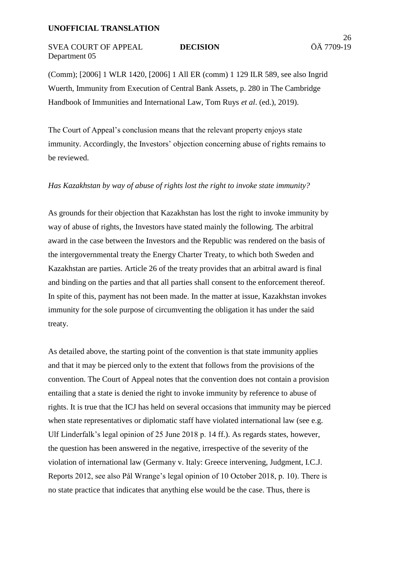SVEA COURT OF APPEAL **DECISION** ÖÄ 7709-19 Department 05

(Comm); [2006] 1 WLR 1420, [2006] 1 All ER (comm) 1 129 ILR 589, see also Ingrid Wuerth, Immunity from Execution of Central Bank Assets, p. 280 in The Cambridge Handbook of Immunities and International Law, Tom Ruys *et al*. (ed.), 2019).

The Court of Appeal's conclusion means that the relevant property enjoys state immunity. Accordingly, the Investors' objection concerning abuse of rights remains to be reviewed.

#### *Has Kazakhstan by way of abuse of rights lost the right to invoke state immunity?*

As grounds for their objection that Kazakhstan has lost the right to invoke immunity by way of abuse of rights, the Investors have stated mainly the following. The arbitral award in the case between the Investors and the Republic was rendered on the basis of the intergovernmental treaty the Energy Charter Treaty, to which both Sweden and Kazakhstan are parties. Article 26 of the treaty provides that an arbitral award is final and binding on the parties and that all parties shall consent to the enforcement thereof. In spite of this, payment has not been made. In the matter at issue, Kazakhstan invokes immunity for the sole purpose of circumventing the obligation it has under the said treaty.

As detailed above, the starting point of the convention is that state immunity applies and that it may be pierced only to the extent that follows from the provisions of the convention. The Court of Appeal notes that the convention does not contain a provision entailing that a state is denied the right to invoke immunity by reference to abuse of rights. It is true that the ICJ has held on several occasions that immunity may be pierced when state representatives or diplomatic staff have violated international law (see e.g. Ulf Linderfalk's legal opinion of 25 June 2018 p. 14 ff.). As regards states, however, the question has been answered in the negative, irrespective of the severity of the violation of international law (Germany v. Italy: Greece intervening, Judgment, I.C.J. Reports 2012, see also Pål Wrange's legal opinion of 10 October 2018, p. 10). There is no state practice that indicates that anything else would be the case. Thus, there is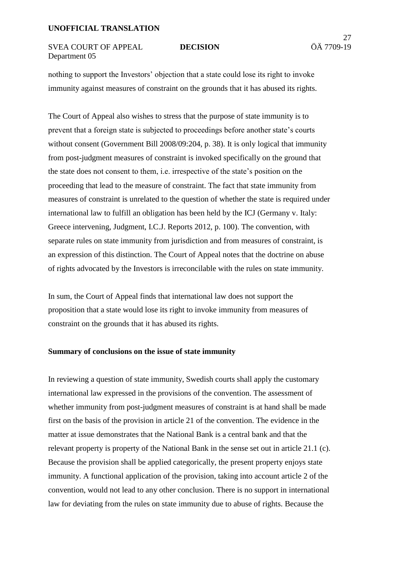## SVEA COURT OF APPEAL **DECISION** ÖÄ 7709-19 Department 05

nothing to support the Investors' objection that a state could lose its right to invoke immunity against measures of constraint on the grounds that it has abused its rights.

The Court of Appeal also wishes to stress that the purpose of state immunity is to prevent that a foreign state is subjected to proceedings before another state's courts without consent (Government Bill 2008/09:204, p. 38). It is only logical that immunity from post-judgment measures of constraint is invoked specifically on the ground that the state does not consent to them, i.e. irrespective of the state's position on the proceeding that lead to the measure of constraint. The fact that state immunity from measures of constraint is unrelated to the question of whether the state is required under international law to fulfill an obligation has been held by the ICJ (Germany v. Italy: Greece intervening, Judgment, I.C.J. Reports 2012, p. 100). The convention, with separate rules on state immunity from jurisdiction and from measures of constraint, is an expression of this distinction. The Court of Appeal notes that the doctrine on abuse of rights advocated by the Investors is irreconcilable with the rules on state immunity.

In sum, the Court of Appeal finds that international law does not support the proposition that a state would lose its right to invoke immunity from measures of constraint on the grounds that it has abused its rights.

### **Summary of conclusions on the issue of state immunity**

In reviewing a question of state immunity, Swedish courts shall apply the customary international law expressed in the provisions of the convention. The assessment of whether immunity from post-judgment measures of constraint is at hand shall be made first on the basis of the provision in article 21 of the convention. The evidence in the matter at issue demonstrates that the National Bank is a central bank and that the relevant property is property of the National Bank in the sense set out in article 21.1 (c). Because the provision shall be applied categorically, the present property enjoys state immunity. A functional application of the provision, taking into account article 2 of the convention, would not lead to any other conclusion. There is no support in international law for deviating from the rules on state immunity due to abuse of rights. Because the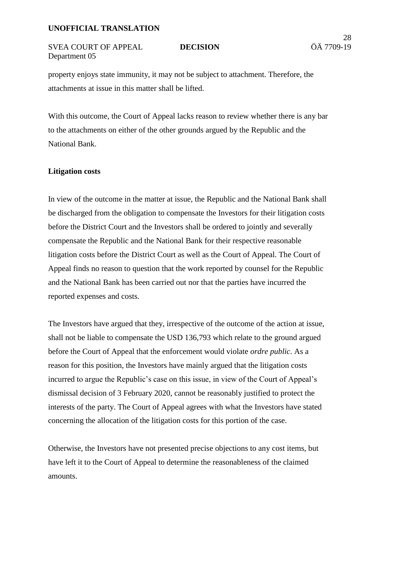SVEA COURT OF APPEAL **DECISION** ÖÄ 7709-19 Department 05

property enjoys state immunity, it may not be subject to attachment. Therefore, the attachments at issue in this matter shall be lifted.

With this outcome, the Court of Appeal lacks reason to review whether there is any bar to the attachments on either of the other grounds argued by the Republic and the National Bank.

### **Litigation costs**

In view of the outcome in the matter at issue, the Republic and the National Bank shall be discharged from the obligation to compensate the Investors for their litigation costs before the District Court and the Investors shall be ordered to jointly and severally compensate the Republic and the National Bank for their respective reasonable litigation costs before the District Court as well as the Court of Appeal. The Court of Appeal finds no reason to question that the work reported by counsel for the Republic and the National Bank has been carried out nor that the parties have incurred the reported expenses and costs.

The Investors have argued that they, irrespective of the outcome of the action at issue, shall not be liable to compensate the USD 136,793 which relate to the ground argued before the Court of Appeal that the enforcement would violate *ordre public*. As a reason for this position, the Investors have mainly argued that the litigation costs incurred to argue the Republic's case on this issue, in view of the Court of Appeal's dismissal decision of 3 February 2020, cannot be reasonably justified to protect the interests of the party. The Court of Appeal agrees with what the Investors have stated concerning the allocation of the litigation costs for this portion of the case.

Otherwise, the Investors have not presented precise objections to any cost items, but have left it to the Court of Appeal to determine the reasonableness of the claimed amounts.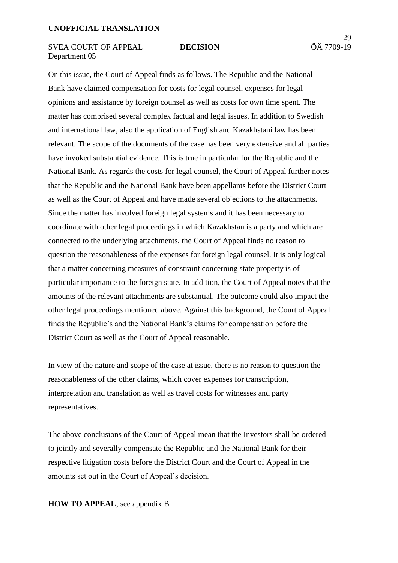## SVEA COURT OF APPEAL **DECISION** ÖÄ 7709-19 Department 05

On this issue, the Court of Appeal finds as follows. The Republic and the National Bank have claimed compensation for costs for legal counsel, expenses for legal opinions and assistance by foreign counsel as well as costs for own time spent. The matter has comprised several complex factual and legal issues. In addition to Swedish and international law, also the application of English and Kazakhstani law has been relevant. The scope of the documents of the case has been very extensive and all parties have invoked substantial evidence. This is true in particular for the Republic and the National Bank. As regards the costs for legal counsel, the Court of Appeal further notes that the Republic and the National Bank have been appellants before the District Court as well as the Court of Appeal and have made several objections to the attachments. Since the matter has involved foreign legal systems and it has been necessary to coordinate with other legal proceedings in which Kazakhstan is a party and which are connected to the underlying attachments, the Court of Appeal finds no reason to question the reasonableness of the expenses for foreign legal counsel. It is only logical that a matter concerning measures of constraint concerning state property is of particular importance to the foreign state. In addition, the Court of Appeal notes that the amounts of the relevant attachments are substantial. The outcome could also impact the other legal proceedings mentioned above. Against this background, the Court of Appeal finds the Republic's and the National Bank's claims for compensation before the District Court as well as the Court of Appeal reasonable.

In view of the nature and scope of the case at issue, there is no reason to question the reasonableness of the other claims, which cover expenses for transcription, interpretation and translation as well as travel costs for witnesses and party representatives.

The above conclusions of the Court of Appeal mean that the Investors shall be ordered to jointly and severally compensate the Republic and the National Bank for their respective litigation costs before the District Court and the Court of Appeal in the amounts set out in the Court of Appeal's decision.

**HOW TO APPEAL**, see appendix B